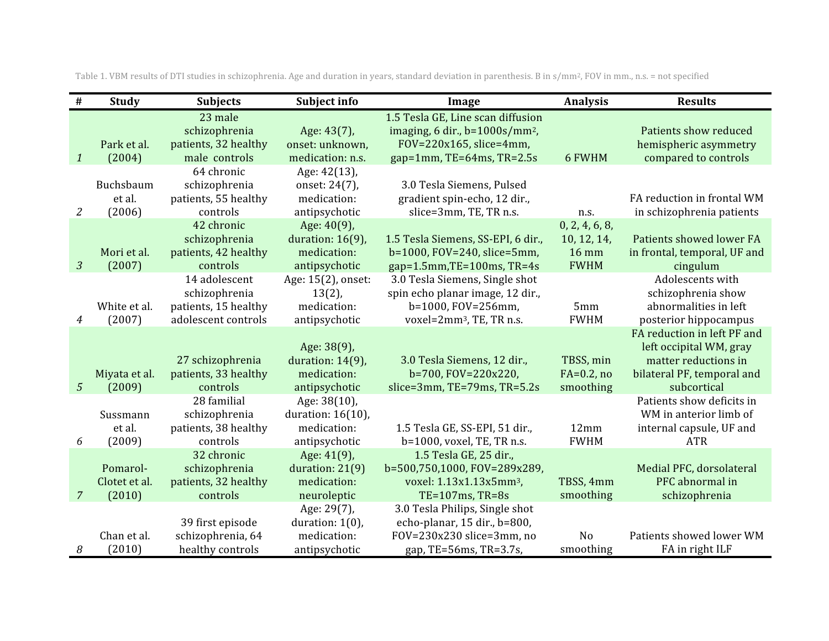| $\#$           | Study                               | <b>Subjects</b>                                                               | Subject info                                                         | Image                                                                                                                               | <b>Analysis</b>                                              | <b>Results</b>                                                                                                              |
|----------------|-------------------------------------|-------------------------------------------------------------------------------|----------------------------------------------------------------------|-------------------------------------------------------------------------------------------------------------------------------------|--------------------------------------------------------------|-----------------------------------------------------------------------------------------------------------------------------|
| $\mathbf{1}$   | Park et al.<br>(2004)               | 23 male<br>schizophrenia<br>patients, 32 healthy<br>male controls             | Age: 43(7),<br>onset: unknown,<br>medication: n.s.                   | 1.5 Tesla GE, Line scan diffusion<br>imaging, 6 dir., $b=1000s/mm^2$ ,<br>$FOV = 220x165$ , slice=4mm,<br>gap=1mm, TE=64ms, TR=2.5s | 6 FWHM                                                       | Patients show reduced<br>hemispheric asymmetry<br>compared to controls                                                      |
| 2              | Buchsbaum<br>et al.<br>(2006)       | 64 chronic<br>schizophrenia<br>patients, 55 healthy<br>controls               | Age: 42(13),<br>onset: 24(7),<br>medication:<br>antipsychotic        | 3.0 Tesla Siemens, Pulsed<br>gradient spin-echo, 12 dir.,<br>slice=3mm, TE, TR n.s.                                                 | n.s.                                                         | FA reduction in frontal WM<br>in schizophrenia patients                                                                     |
| $\overline{3}$ | Mori et al.<br>(2007)               | 42 chronic<br>schizophrenia<br>patients, 42 healthy<br>controls               | Age: 40(9),<br>duration: $16(9)$ ,<br>medication:<br>antipsychotic   | 1.5 Tesla Siemens, SS-EPI, 6 dir.,<br>b=1000, FOV=240, slice=5mm,<br>gap=1.5mm,TE=100ms, TR=4s                                      | 0, 2, 4, 6, 8,<br>10, 12, 14,<br><b>16 mm</b><br><b>FWHM</b> | Patients showed lower FA<br>in frontal, temporal, UF and<br>cingulum                                                        |
| 4              | White et al.<br>(2007)              | 14 adolescent<br>schizophrenia<br>patients, 15 healthy<br>adolescent controls | Age: 15(2), onset:<br>$13(2)$ ,<br>medication:<br>antipsychotic      | 3.0 Tesla Siemens, Single shot<br>spin echo planar image, 12 dir.,<br>b=1000, FOV=256mm,<br>voxel=2mm <sup>3</sup> , TE, TR n.s.    | 5mm<br><b>FWHM</b>                                           | Adolescents with<br>schizophrenia show<br>abnormalities in left<br>posterior hippocampus                                    |
| $\mathfrak{S}$ | Miyata et al.<br>(2009)             | 27 schizophrenia<br>patients, 33 healthy<br>controls                          | Age: 38(9),<br>duration: $14(9)$ ,<br>medication:<br>antipsychotic   | 3.0 Tesla Siemens, 12 dir.,<br>b=700, FOV=220x220,<br>slice=3mm, TE=79ms, TR=5.2s                                                   | TBSS, min<br>$FA=0.2$ , no<br>smoothing                      | FA reduction in left PF and<br>left occipital WM, gray<br>matter reductions in<br>bilateral PF, temporal and<br>subcortical |
| 6              | Sussmann<br>et al.<br>(2009)        | 28 familial<br>schizophrenia<br>patients, 38 healthy<br>controls              | Age: 38(10),<br>duration: $16(10)$ ,<br>medication:<br>antipsychotic | 1.5 Tesla GE, SS-EPI, 51 dir.,<br>b=1000, voxel, TE, TR n.s.                                                                        | 12mm<br><b>FWHM</b>                                          | Patients show deficits in<br>WM in anterior limb of<br>internal capsule, UF and<br><b>ATR</b>                               |
| $\mathcal{I}$  | Pomarol-<br>Clotet et al.<br>(2010) | 32 chronic<br>schizophrenia<br>patients, 32 healthy<br>controls               | Age: 41(9),<br>duration: $21(9)$<br>medication:<br>neuroleptic       | 1.5 Tesla GE, 25 dir.,<br>b=500,750,1000, FOV=289x289,<br>voxel: 1.13x1.13x5mm <sup>3</sup> ,<br>TE=107ms, TR=8s                    | TBSS, 4mm<br>smoothing                                       | Medial PFC, dorsolateral<br>PFC abnormal in<br>schizophrenia                                                                |
| 8              | Chan et al.<br>(2010)               | 39 first episode<br>schizophrenia, 64<br>healthy controls                     | Age: 29(7),<br>duration: $1(0)$ ,<br>medication:<br>antipsychotic    | 3.0 Tesla Philips, Single shot<br>echo-planar, 15 dir., b=800,<br>FOV=230x230 slice=3mm, no<br>gap, TE=56ms, TR=3.7s,               | N <sub>o</sub><br>smoothing                                  | Patients showed lower WM<br>FA in right ILF                                                                                 |

Table 1. VBM results of DTI studies in schizophrenia. Age and duration in years, standard deviation in parenthesis. B in s/mm<sup>2</sup>, FOV in mm., n.s. = not specified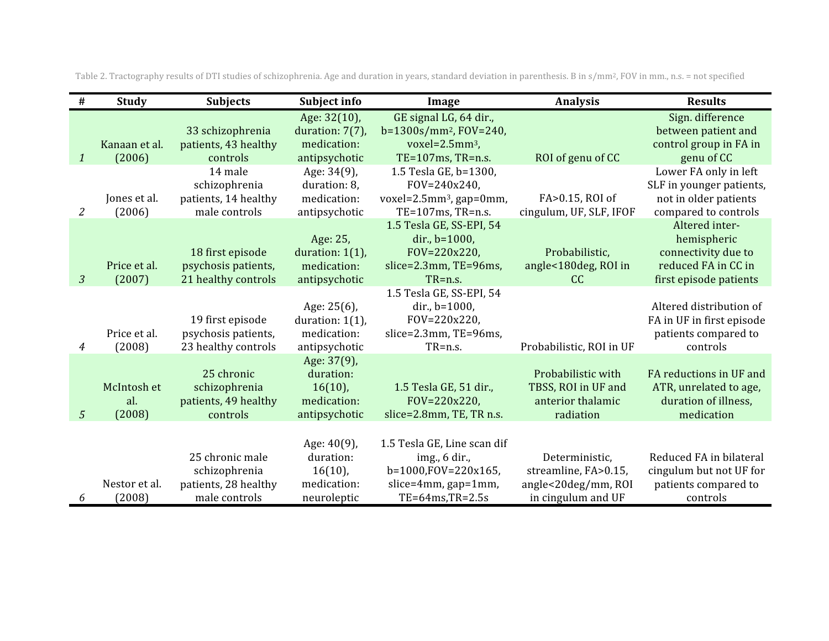| #                         | <b>Study</b>                 | <b>Subjects</b>                                                           | Subject info                                                           | Image                                                                                                                     | <b>Analysis</b>                                                                     | <b>Results</b>                                                                                        |
|---------------------------|------------------------------|---------------------------------------------------------------------------|------------------------------------------------------------------------|---------------------------------------------------------------------------------------------------------------------------|-------------------------------------------------------------------------------------|-------------------------------------------------------------------------------------------------------|
|                           | Kanaan et al.                | 33 schizophrenia<br>patients, 43 healthy                                  | Age: 32(10),<br>duration: $7(7)$ ,<br>medication:                      | GE signal LG, 64 dir.,<br>b=1300s/mm <sup>2</sup> , FOV=240,<br>voxel=2.5mm <sup>3</sup> ,                                |                                                                                     | Sign. difference<br>between patient and<br>control group in FA in                                     |
| $\boldsymbol{\mathit{1}}$ | (2006)                       | controls                                                                  | antipsychotic                                                          | TE=107ms, TR=n.s.                                                                                                         | ROI of genu of CC                                                                   | genu of CC                                                                                            |
| $\overline{2}$            | Jones et al.<br>(2006)       | 14 male<br>schizophrenia<br>patients, 14 healthy<br>male controls         | Age: 34(9),<br>duration: 8,<br>medication:<br>antipsychotic            | 1.5 Tesla GE, b=1300,<br>FOV=240x240.<br>voxel= $2.5$ mm <sup>3</sup> , gap=0mm,<br>TE=107ms, TR=n.s.                     | FA>0.15, ROI of<br>cingulum, UF, SLF, IFOF                                          | Lower FA only in left<br>SLF in younger patients,<br>not in older patients<br>compared to controls    |
| $\mathfrak{Z}$            | Price et al.<br>(2007)       | 18 first episode<br>psychosis patients,<br>21 healthy controls            | Age: 25,<br>duration: $1(1)$ ,<br>medication:<br>antipsychotic         | 1.5 Tesla GE, SS-EPI, 54<br>dir., b=1000,<br>FOV=220x220,<br>slice=2.3mm, TE=96ms,<br>TR=n.s.                             | Probabilistic,<br>angle<180deg, ROI in<br>cc                                        | Altered inter-<br>hemispheric<br>connectivity due to<br>reduced FA in CC in<br>first episode patients |
| 4                         | Price et al.<br>(2008)       | 19 first episode<br>psychosis patients,<br>23 healthy controls            | Age: $25(6)$ ,<br>duration: $1(1)$ ,<br>medication:<br>antipsychotic   | 1.5 Tesla GE, SS-EPI, 54<br>dir., b=1000,<br>FOV=220x220,<br>slice=2.3mm, TE=96ms,<br>TR=n.s.                             | Probabilistic, ROI in UF                                                            | Altered distribution of<br>FA in UF in first episode<br>patients compared to<br>controls              |
| 5                         | McIntosh et<br>al.<br>(2008) | 25 chronic<br>schizophrenia<br>patients, 49 healthy<br>controls           | Age: 37(9),<br>duration:<br>$16(10)$ ,<br>medication:<br>antipsychotic | 1.5 Tesla GE, 51 dir.,<br>FOV=220x220,<br>slice=2.8mm, TE, TR n.s.                                                        | Probabilistic with<br>TBSS, ROI in UF and<br>anterior thalamic<br>radiation         | FA reductions in UF and<br>ATR, unrelated to age,<br>duration of illness,<br>medication               |
| 6                         | Nestor et al.<br>(2008)      | 25 chronic male<br>schizophrenia<br>patients, 28 healthy<br>male controls | Age: 40(9),<br>duration:<br>$16(10)$ ,<br>medication:<br>neuroleptic   | 1.5 Tesla GE, Line scan dif<br>img., 6 dir.,<br>b=1000,FOV=220x165,<br>$slice=4mm$ , $gap=1mm$ ,<br>$TE=64ms$ , $TR=2.5s$ | Deterministic,<br>streamline, FA>0.15,<br>angle<20deg/mm, ROI<br>in cingulum and UF | Reduced FA in bilateral<br>cingulum but not UF for<br>patients compared to<br>controls                |

Table 2. Tractography results of DTI studies of schizophrenia. Age and duration in years, standard deviation in parenthesis. B in s/mm<sup>2</sup>, FOV in mm., n.s. = not specified